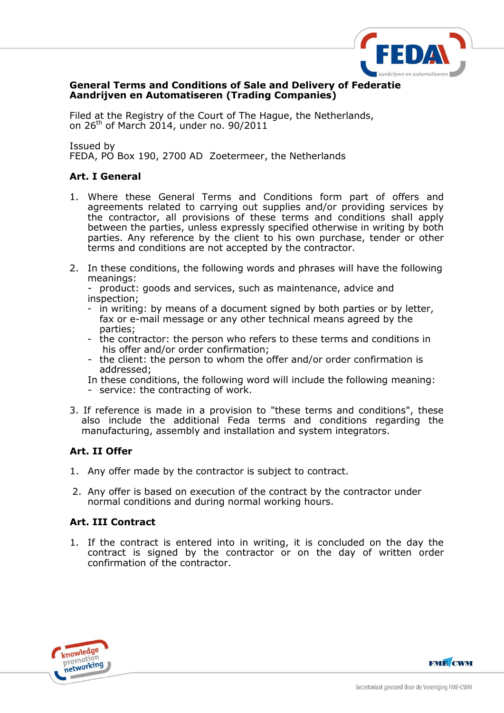

### **General Terms and Conditions of Sale and Delivery of Federatie Aandrijven en Automatiseren (Trading Companies)**

Filed at the Registry of the Court of The Hague, the Netherlands, on 26th of March 2014, under no. 90/2011

Issued by FEDA, PO Box 190, 2700 AD Zoetermeer, the Netherlands

## **Art. I General**

- 1. Where these General Terms and Conditions form part of offers and agreements related to carrying out supplies and/or providing services by the contractor, all provisions of these terms and conditions shall apply between the parties, unless expressly specified otherwise in writing by both parties. Any reference by the client to his own purchase, tender or other terms and conditions are not accepted by the contractor.
- 2. In these conditions, the following words and phrases will have the following meanings:
	- product: goods and services, such as maintenance, advice and inspection;
	- in writing: by means of a document signed by both parties or by letter, fax or e-mail message or any other technical means agreed by the parties;
	- the contractor: the person who refers to these terms and conditions in his offer and/or order confirmation;
	- the client: the person to whom the offer and/or order confirmation is addressed;
	- In these conditions, the following word will include the following meaning:
	- service: the contracting of work.
- 3. If reference is made in a provision to "these terms and conditions", these also include the additional Feda terms and conditions regarding the manufacturing, assembly and installation and system integrators.

## **Art. II Offer**

- 1. Any offer made by the contractor is subject to contract.
- 2. Any offer is based on execution of the contract by the contractor under normal conditions and during normal working hours.

## **Art. III Contract**

1. If the contract is entered into in writing, it is concluded on the day the contract is signed by the contractor or on the day of written order confirmation of the contractor.



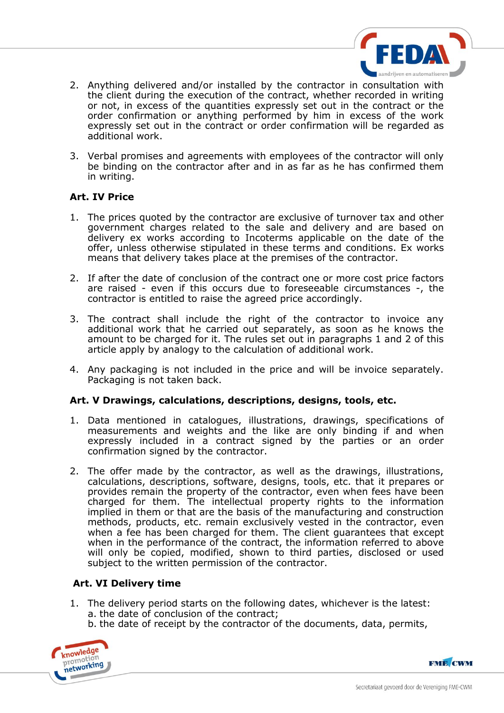

- 2. Anything delivered and/or installed by the contractor in consultation with the client during the execution of the contract, whether recorded in writing or not, in excess of the quantities expressly set out in the contract or the order confirmation or anything performed by him in excess of the work expressly set out in the contract or order confirmation will be regarded as additional work.
- 3. Verbal promises and agreements with employees of the contractor will only be binding on the contractor after and in as far as he has confirmed them in writing.

### **Art. IV Price**

- 1. The prices quoted by the contractor are exclusive of turnover tax and other government charges related to the sale and delivery and are based on delivery ex works according to Incoterms applicable on the date of the offer, unless otherwise stipulated in these terms and conditions. Ex works means that delivery takes place at the premises of the contractor.
- 2. If after the date of conclusion of the contract one or more cost price factors are raised - even if this occurs due to foreseeable circumstances -, the contractor is entitled to raise the agreed price accordingly.
- 3. The contract shall include the right of the contractor to invoice any additional work that he carried out separately, as soon as he knows the amount to be charged for it. The rules set out in paragraphs 1 and 2 of this article apply by analogy to the calculation of additional work.
- 4. Any packaging is not included in the price and will be invoice separately. Packaging is not taken back.

#### **Art. V Drawings, calculations, descriptions, designs, tools, etc.**

- 1. Data mentioned in catalogues, illustrations, drawings, specifications of measurements and weights and the like are only binding if and when expressly included in a contract signed by the parties or an order confirmation signed by the contractor.
- 2. The offer made by the contractor, as well as the drawings, illustrations, calculations, descriptions, software, designs, tools, etc. that it prepares or provides remain the property of the contractor, even when fees have been charged for them. The intellectual property rights to the information implied in them or that are the basis of the manufacturing and construction methods, products, etc. remain exclusively vested in the contractor, even when a fee has been charged for them. The client guarantees that except when in the performance of the contract, the information referred to above will only be copied, modified, shown to third parties, disclosed or used subject to the written permission of the contractor.

## **Art. VI Delivery time**

- 1. The delivery period starts on the following dates, whichever is the latest: a. the date of conclusion of the contract;
	- b. the date of receipt by the contractor of the documents, data, permits,



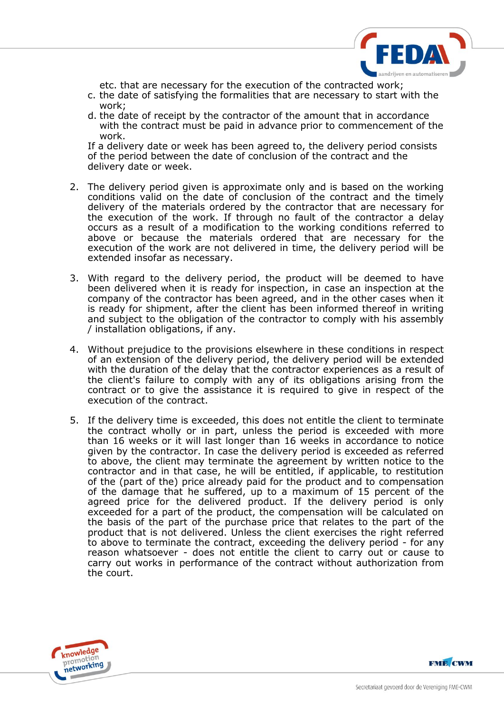

etc. that are necessary for the execution of the contracted work;

- c. the date of satisfying the formalities that are necessary to start with the work;
- d. the date of receipt by the contractor of the amount that in accordance with the contract must be paid in advance prior to commencement of the work.

If a delivery date or week has been agreed to, the delivery period consists of the period between the date of conclusion of the contract and the delivery date or week.

- 2. The delivery period given is approximate only and is based on the working conditions valid on the date of conclusion of the contract and the timely delivery of the materials ordered by the contractor that are necessary for the execution of the work. If through no fault of the contractor a delay occurs as a result of a modification to the working conditions referred to above or because the materials ordered that are necessary for the execution of the work are not delivered in time, the delivery period will be extended insofar as necessary.
- 3. With regard to the delivery period, the product will be deemed to have been delivered when it is ready for inspection, in case an inspection at the company of the contractor has been agreed, and in the other cases when it is ready for shipment, after the client has been informed thereof in writing and subject to the obligation of the contractor to comply with his assembly / installation obligations, if any.
- 4. Without prejudice to the provisions elsewhere in these conditions in respect of an extension of the delivery period, the delivery period will be extended with the duration of the delay that the contractor experiences as a result of the client's failure to comply with any of its obligations arising from the contract or to give the assistance it is required to give in respect of the execution of the contract.
- 5. If the delivery time is exceeded, this does not entitle the client to terminate the contract wholly or in part, unless the period is exceeded with more than 16 weeks or it will last longer than 16 weeks in accordance to notice given by the contractor. In case the delivery period is exceeded as referred to above, the client may terminate the agreement by written notice to the contractor and in that case, he will be entitled, if applicable, to restitution of the (part of the) price already paid for the product and to compensation of the damage that he suffered, up to a maximum of 15 percent of the agreed price for the delivered product. If the delivery period is only exceeded for a part of the product, the compensation will be calculated on the basis of the part of the purchase price that relates to the part of the product that is not delivered. Unless the client exercises the right referred to above to terminate the contract, exceeding the delivery period - for any reason whatsoever - does not entitle the client to carry out or cause to carry out works in performance of the contract without authorization from the court.



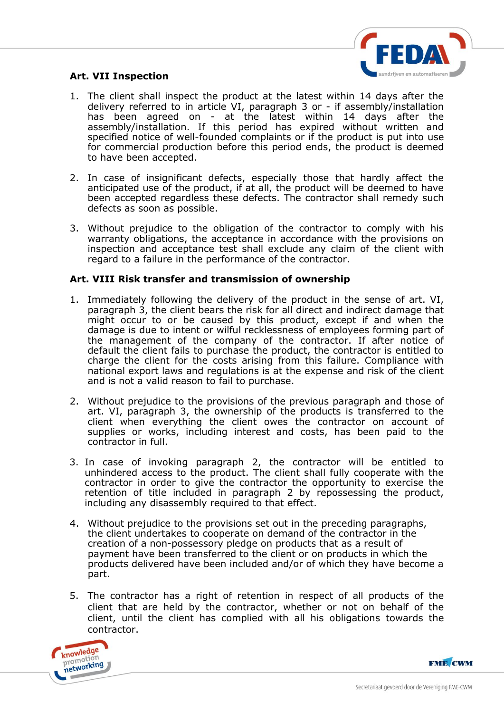

# **Art. VII Inspection**

- 1. The client shall inspect the product at the latest within 14 days after the delivery referred to in article VI, paragraph 3 or - if assembly/installation has been agreed on - at the latest within 14 days after the assembly/installation. If this period has expired without written and specified notice of well-founded complaints or if the product is put into use for commercial production before this period ends, the product is deemed to have been accepted.
- 2. In case of insignificant defects, especially those that hardly affect the anticipated use of the product, if at all, the product will be deemed to have been accepted regardless these defects. The contractor shall remedy such defects as soon as possible.
- 3. Without prejudice to the obligation of the contractor to comply with his warranty obligations, the acceptance in accordance with the provisions on inspection and acceptance test shall exclude any claim of the client with regard to a failure in the performance of the contractor.

#### **Art. VIII Risk transfer and transmission of ownership**

- 1. Immediately following the delivery of the product in the sense of art. VI, paragraph 3, the client bears the risk for all direct and indirect damage that might occur to or be caused by this product, except if and when the damage is due to intent or wilful recklessness of employees forming part of the management of the company of the contractor. If after notice of default the client fails to purchase the product, the contractor is entitled to charge the client for the costs arising from this failure. Compliance with national export laws and regulations is at the expense and risk of the client and is not a valid reason to fail to purchase.
- 2. Without prejudice to the provisions of the previous paragraph and those of art. VI, paragraph 3, the ownership of the products is transferred to the client when everything the client owes the contractor on account of supplies or works, including interest and costs, has been paid to the contractor in full.
- 3. In case of invoking paragraph 2, the contractor will be entitled to unhindered access to the product. The client shall fully cooperate with the contractor in order to give the contractor the opportunity to exercise the retention of title included in paragraph 2 by repossessing the product, including any disassembly required to that effect.
- 4. Without prejudice to the provisions set out in the preceding paragraphs, the client undertakes to cooperate on demand of the contractor in the creation of a non-possessory pledge on products that as a result of payment have been transferred to the client or on products in which the products delivered have been included and/or of which they have become a part.
- 5. The contractor has a right of retention in respect of all products of the client that are held by the contractor, whether or not on behalf of the client, until the client has complied with all his obligations towards the contractor.



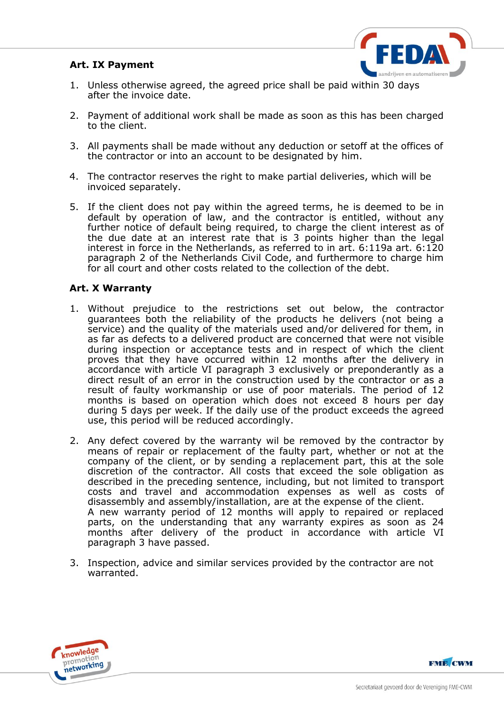## **Art. IX Payment**



- 1. Unless otherwise agreed, the agreed price shall be paid within 30 days after the invoice date.
- 2. Payment of additional work shall be made as soon as this has been charged to the client.
- 3. All payments shall be made without any deduction or setoff at the offices of the contractor or into an account to be designated by him.
- 4. The contractor reserves the right to make partial deliveries, which will be invoiced separately.
- 5. If the client does not pay within the agreed terms, he is deemed to be in default by operation of law, and the contractor is entitled, without any further notice of default being required, to charge the client interest as of the due date at an interest rate that is 3 points higher than the legal interest in force in the Netherlands, as referred to in art. 6:119a art. 6:120 paragraph 2 of the Netherlands Civil Code, and furthermore to charge him for all court and other costs related to the collection of the debt.

### **Art. X Warranty**

- 1. Without prejudice to the restrictions set out below, the contractor guarantees both the reliability of the products he delivers (not being a service) and the quality of the materials used and/or delivered for them, in as far as defects to a delivered product are concerned that were not visible during inspection or acceptance tests and in respect of which the client proves that they have occurred within 12 months after the delivery in accordance with article VI paragraph 3 exclusively or preponderantly as a direct result of an error in the construction used by the contractor or as a result of faulty workmanship or use of poor materials. The period of 12 months is based on operation which does not exceed 8 hours per day during 5 days per week. If the daily use of the product exceeds the agreed use, this period will be reduced accordingly.
- 2. Any defect covered by the warranty wil be removed by the contractor by means of repair or replacement of the faulty part, whether or not at the company of the client, or by sending a replacement part, this at the sole discretion of the contractor. All costs that exceed the sole obligation as described in the preceding sentence, including, but not limited to transport costs and travel and accommodation expenses as well as costs of disassembly and assembly/installation, are at the expense of the client. A new warranty period of 12 months will apply to repaired or replaced parts, on the understanding that any warranty expires as soon as 24 months after delivery of the product in accordance with article VI paragraph 3 have passed.
- 3. Inspection, advice and similar services provided by the contractor are not warranted.



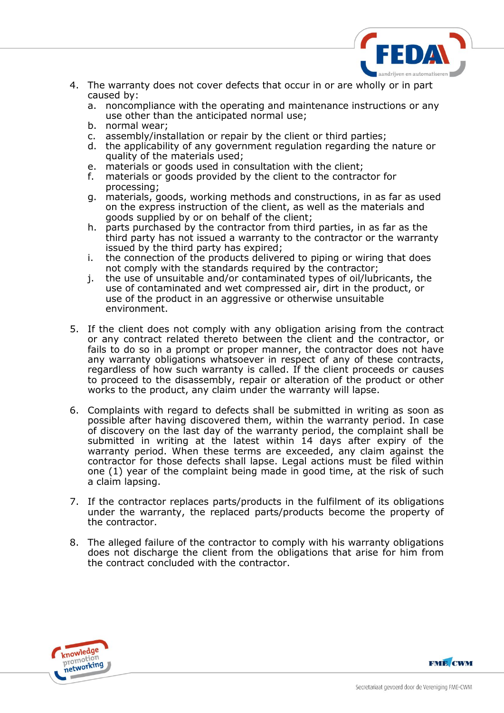

- 4. The warranty does not cover defects that occur in or are wholly or in part caused by:
	- a. noncompliance with the operating and maintenance instructions or any use other than the anticipated normal use;
	- b. normal wear;
	- c. assembly/installation or repair by the client or third parties;
	- d. the applicability of any government regulation regarding the nature or quality of the materials used;
	- e. materials or goods used in consultation with the client;
	- f. materials or goods provided by the client to the contractor for processing;
	- g. materials, goods, working methods and constructions, in as far as used on the express instruction of the client, as well as the materials and goods supplied by or on behalf of the client;
	- h. parts purchased by the contractor from third parties, in as far as the third party has not issued a warranty to the contractor or the warranty issued by the third party has expired;
	- i. the connection of the products delivered to piping or wiring that does not comply with the standards required by the contractor;
	- j. the use of unsuitable and/or contaminated types of oil/lubricants, the use of contaminated and wet compressed air, dirt in the product, or use of the product in an aggressive or otherwise unsuitable environment.
- 5. If the client does not comply with any obligation arising from the contract or any contract related thereto between the client and the contractor, or fails to do so in a prompt or proper manner, the contractor does not have any warranty obligations whatsoever in respect of any of these contracts, regardless of how such warranty is called. If the client proceeds or causes to proceed to the disassembly, repair or alteration of the product or other works to the product, any claim under the warranty will lapse.
- 6. Complaints with regard to defects shall be submitted in writing as soon as possible after having discovered them, within the warranty period. In case of discovery on the last day of the warranty period, the complaint shall be submitted in writing at the latest within 14 days after expiry of the warranty period. When these terms are exceeded, any claim against the contractor for those defects shall lapse. Legal actions must be filed within one (1) year of the complaint being made in good time, at the risk of such a claim lapsing.
- 7. If the contractor replaces parts/products in the fulfilment of its obligations under the warranty, the replaced parts/products become the property of the contractor.
- 8. The alleged failure of the contractor to comply with his warranty obligations does not discharge the client from the obligations that arise for him from the contract concluded with the contractor.



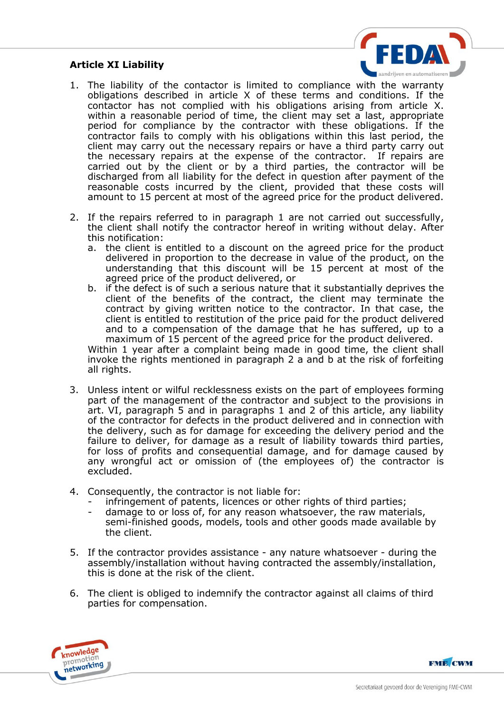## **Article XI Liability**



- 1. The liability of the contactor is limited to compliance with the warranty obligations described in article X of these terms and conditions. If the contactor has not complied with his obligations arising from article X. within a reasonable period of time, the client may set a last, appropriate period for compliance by the contractor with these obligations. If the contractor fails to comply with his obligations within this last period, the client may carry out the necessary repairs or have a third party carry out the necessary repairs at the expense of the contractor. If repairs are carried out by the client or by a third parties, the contractor will be discharged from all liability for the defect in question after payment of the reasonable costs incurred by the client, provided that these costs will amount to 15 percent at most of the agreed price for the product delivered.
- 2. If the repairs referred to in paragraph 1 are not carried out successfully, the client shall notify the contractor hereof in writing without delay. After this notification:
	- a. the client is entitled to a discount on the agreed price for the product delivered in proportion to the decrease in value of the product, on the understanding that this discount will be 15 percent at most of the agreed price of the product delivered, or
	- b. if the defect is of such a serious nature that it substantially deprives the client of the benefits of the contract, the client may terminate the contract by giving written notice to the contractor. In that case, the client is entitled to restitution of the price paid for the product delivered and to a compensation of the damage that he has suffered, up to a maximum of 15 percent of the agreed price for the product delivered.

Within 1 year after a complaint being made in good time, the client shall invoke the rights mentioned in paragraph 2 a and b at the risk of forfeiting all rights.

- 3. Unless intent or wilful recklessness exists on the part of employees forming part of the management of the contractor and subject to the provisions in art. VI, paragraph 5 and in paragraphs 1 and 2 of this article, any liability of the contractor for defects in the product delivered and in connection with the delivery, such as for damage for exceeding the delivery period and the failure to deliver, for damage as a result of liability towards third parties, for loss of profits and consequential damage, and for damage caused by any wrongful act or omission of (the employees of) the contractor is excluded.
- 4. Consequently, the contractor is not liable for:
	- infringement of patents, licences or other rights of third parties;
	- damage to or loss of, for any reason whatsoever, the raw materials, semi-finished goods, models, tools and other goods made available by the client.
- 5. If the contractor provides assistance any nature whatsoever during the assembly/installation without having contracted the assembly/installation, this is done at the risk of the client.
- 6. The client is obliged to indemnify the contractor against all claims of third parties for compensation.



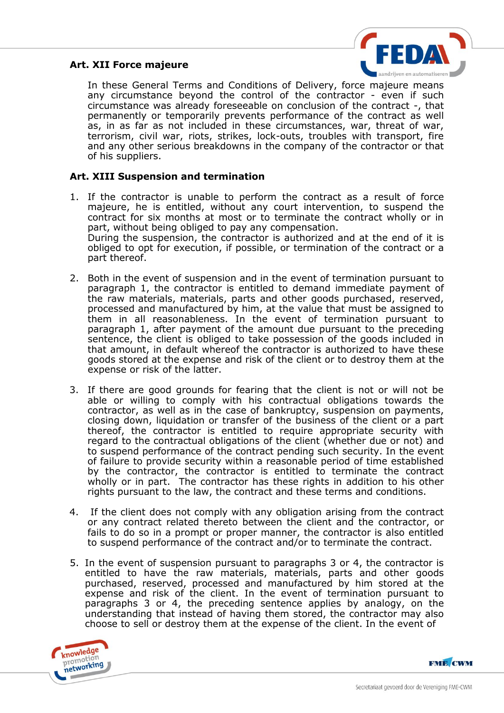## **Art. XII Force majeure**



In these General Terms and Conditions of Delivery, force majeure means any circumstance beyond the control of the contractor - even if such circumstance was already foreseeable on conclusion of the contract -, that permanently or temporarily prevents performance of the contract as well as, in as far as not included in these circumstances, war, threat of war, terrorism, civil war, riots, strikes, lock-outs, troubles with transport, fire and any other serious breakdowns in the company of the contractor or that of his suppliers.

## **Art. XIII Suspension and termination**

- 1. If the contractor is unable to perform the contract as a result of force majeure, he is entitled, without any court intervention, to suspend the contract for six months at most or to terminate the contract wholly or in part, without being obliged to pay any compensation. During the suspension, the contractor is authorized and at the end of it is obliged to opt for execution, if possible, or termination of the contract or a part thereof.
- 2. Both in the event of suspension and in the event of termination pursuant to paragraph 1, the contractor is entitled to demand immediate payment of the raw materials, materials, parts and other goods purchased, reserved, processed and manufactured by him, at the value that must be assigned to them in all reasonableness. In the event of termination pursuant to paragraph 1, after payment of the amount due pursuant to the preceding sentence, the client is obliged to take possession of the goods included in that amount, in default whereof the contractor is authorized to have these goods stored at the expense and risk of the client or to destroy them at the expense or risk of the latter.
- 3. If there are good grounds for fearing that the client is not or will not be able or willing to comply with his contractual obligations towards the contractor, as well as in the case of bankruptcy, suspension on payments, closing down, liquidation or transfer of the business of the client or a part thereof, the contractor is entitled to require appropriate security with regard to the contractual obligations of the client (whether due or not) and to suspend performance of the contract pending such security. In the event of failure to provide security within a reasonable period of time established by the contractor, the contractor is entitled to terminate the contract wholly or in part. The contractor has these rights in addition to his other rights pursuant to the law, the contract and these terms and conditions.
- 4. If the client does not comply with any obligation arising from the contract or any contract related thereto between the client and the contractor, or fails to do so in a prompt or proper manner, the contractor is also entitled to suspend performance of the contract and/or to terminate the contract.
- 5. In the event of suspension pursuant to paragraphs 3 or 4, the contractor is entitled to have the raw materials, materials, parts and other goods purchased, reserved, processed and manufactured by him stored at the expense and risk of the client. In the event of termination pursuant to paragraphs 3 or 4, the preceding sentence applies by analogy, on the understanding that instead of having them stored, the contractor may also choose to sell or destroy them at the expense of the client. In the event of